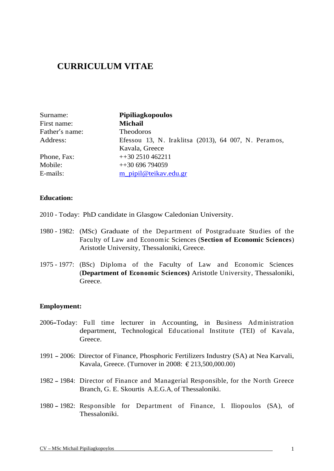# **CURRICULUM VITAE**

| Surname:       | Pipiliagkopoulos                                     |  |
|----------------|------------------------------------------------------|--|
| First name:    | <b>Michail</b>                                       |  |
| Father's name: | Theodoros                                            |  |
| Address:       | Efessou 13, N. Iraklitsa (2013), 64 007, N. Peramos, |  |
|                | Kavala, Greece                                       |  |
| Phone, Fax:    | $++302510462211$                                     |  |
| Mobile:        | $+130696794059$                                      |  |
| E-mails:       | m_pipil@teikav.edu.gr                                |  |

### **Education:**

- 2010 Today: PhD candidate in Glasgow Caledonian University.
- 1980 1982: (MSc) Graduate of the Department of Postgraduate Studies of the Faculty of Law and Economic Sciences (**Section of Economic Sciences**) Aristotle University, Thessaloniki, Greece.
- 1975 1977: (BSc) Diploma of the Faculty of Law and Economic Sciences (**Department of Economic Sciences)** Aristotle University, Thessaloniki, Greece.

## **Employment:**

- 2006 Today: Full time lecturer in Accounting, in Business Administration department, Technological Educational Institute (TEI) of Kavala, Greece.
- 1991 2006: Director of Finance, Phosphoric Fertilizers Industry (SA) at Nea Karvali, Kavala, Greece. (Turnover in 2008: € 213,500,000.00)
- 1982 1984: Director of Finance and Managerial Responsible, for the North Greece Branch, G. E. Skourtis A.E.G.A, of Thessaloniki.
- 1980 1982: Responsible for Department of Finance, I. Iliopoulos (SA), of Thessaloniki.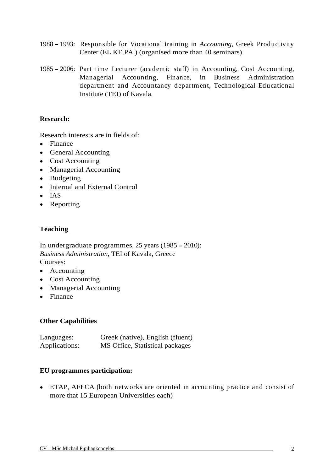- 1988 1993: Responsible for Vocational training in *Accounting*, Greek Productivity Center (EL.KE.PA.) (organised more than 40 seminars).
- 1985 2006: Part time Lecturer (academic staff) in Accounting, Cost Accounting, Managerial Accounting, Finance, in Business Administration department and Accountancy department, Technological Educational Institute (TEI) of Kavala.

## **Research:**

Research interests are in fields of:

- Finance **Finance Finance Finance Finance Finance Finance Finance Finance**
- General Accounting and the set of the set of the set of the set of the set of the set of the set of the set of the set of the set of the set of the set of the set of the set of the set of the set of the set of the set of t
- Cost Accounting
- Managerial Accounting
- Budgeting and the set of the set of the set of the set of the set of the set of the set of the set of the set of the set of the set of the set of the set of the set of the set of the set of the set of the set of the set of
- Internal and External Control
- IAS
- Reporting the contract of the contract of the contract of the contract of the contract of the contract of the contract of the contract of the contract of the contract of the contract of the contract of the contract of the

## **Teaching**

In undergraduate programmes, 25 years (1985 - 2010): *Business Administration*, TEI of Kavala, Greece **Courses:** 

- Accounting the contract of the contract of the contract of the contract of the contract of the contract of the contract of the contract of the contract of the contract of the contract of the contract of the contract of the
- 
- Cost Accounting Managerial Accounting
- Finance **Finance Finance Finance Finance Finance Finance Finance Finance**

## **Other Capabilities**

| Languages     | Greek (native), English (fluent)            |  |
|---------------|---------------------------------------------|--|
| Applications: | MS Office,<br>, Statistical packages<br>. . |  |

## **EU programmes participation:**

ETAP, AFECA (both networks are oriented in accounting practice and consist of more that 15 European Universities each)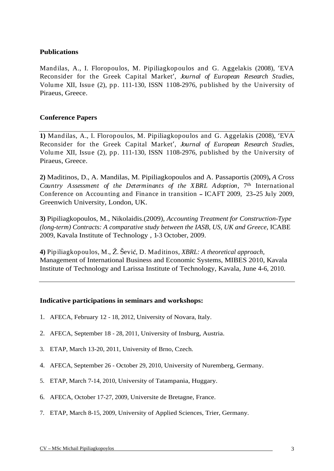## **Publications**

Mandilas, A., I. Floropoulos, M. Pipiliagkopoulos and G. Aggelakis (2008), EVA Reconsider for the Greek Capital Market , *Journal of European Research Studies*, Volume XII, Issue (2), pp. 111-130, ISSN 1108-2976, published by the University of Piraeus, Greece.

## **Conference Papers**

**1)** Mandilas, A., I. Floropoulos, M. Pipiliagkopoulos and G. Aggelakis (2008), EVA Reconsider for the Greek Capital Market , *Journal of European Research Studies*, Volume XII, Issue (2), pp. 111-130, ISSN 1108-2976, published by the University of Piraeus, Greece.

**2)** Maditinos, D., A. Mandilas, M. Pipiliagkopoulos and A. Passaportis (2009)**,** *A Cross Country Assessment of the Determinants of the XBRL Adoption*, 7 th International Conference on Accounting and Finance in transition – ICAFT 2009, 23–25 July 2009, Greenwich University, London, UK.

**3)** Pipiliagkopoulos, M., Nikolaidis.(2009), *Accounting Treatment for Construction-Type (long-term) Contracts: A comparative study between the IASB, US, UK and Greece,* ICABE 2009, Kavala Institute of Technology , 1-3 October, 2009.

**4)** Pipiliagkopoulos, M.,  $\check{Z}$ . Šević, D. Maditinos, *XBRL: A theoretical approach*, Management of International Business and Economic Systems, MIBES 2010, Kavala Institute of Technology and Larissa Institute of Technology, Kavala, June 4-6, 2010.

## **Indicative participations in seminars and workshops:**

- 1. AFECA, February 12 18, 2012, University of Novara, Italy.
- 2. AFECA, September 18 28, 2011, University of Insburg, Austria.
- 3. ETAP, March 13-20, 2011, University of Brno, Czech.
- 4. AFECA, September 26 October 29, 2010, University of Nuremberg, Germany.
- 5. ETAP, March 7-14, 2010, University of Tatampania, Huggary.
- 6. AFECA, October 17-27, 2009, Universite de Bretagne, France.
- 7. ETAP, March 8-15, 2009, University of Applied Sciences, Trier, Germany.